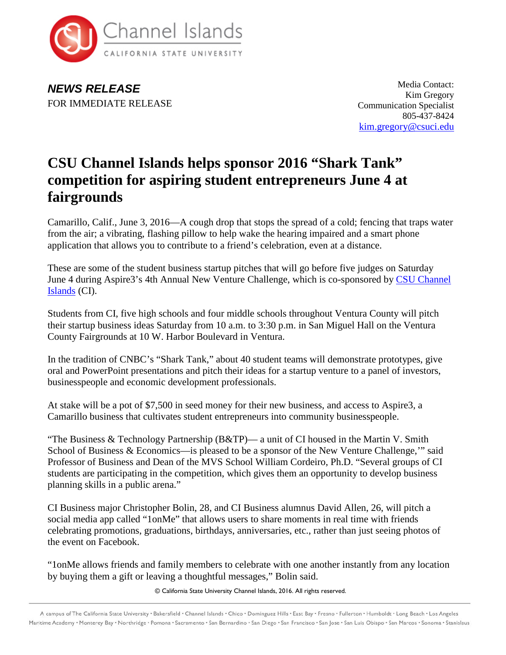

*NEWS RELEASE* FOR IMMEDIATE RELEASE

Media Contact: Kim Gregory Communication Specialist 805-437-8424 [kim.gregory@csuci.edu](mailto:kim.gregory@csuci.edu)

## **CSU Channel Islands helps sponsor 2016 "Shark Tank" competition for aspiring student entrepreneurs June 4 at fairgrounds**

Camarillo, Calif., June 3, 2016—A cough drop that stops the spread of a cold; fencing that traps water from the air; a vibrating, flashing pillow to help wake the hearing impaired and a smart phone application that allows you to contribute to a friend's celebration, even at a distance.

These are some of the student business startup pitches that will go before five judges on Saturday June 4 during Aspire3's 4th Annual New Venture Challenge, which is co-sponsored by [CSU Channel](http://www.csuci.edu/)  [Islands](http://www.csuci.edu/) (CI).

Students from CI, five high schools and four middle schools throughout Ventura County will pitch their startup business ideas Saturday from 10 a.m. to 3:30 p.m. in San Miguel Hall on the Ventura County Fairgrounds at 10 W. Harbor Boulevard in Ventura.

In the tradition of CNBC's "Shark Tank," about 40 student teams will demonstrate prototypes, give oral and PowerPoint presentations and pitch their ideas for a startup venture to a panel of investors, businesspeople and economic development professionals.

At stake will be a pot of \$7,500 in seed money for their new business, and access to Aspire3, a Camarillo business that cultivates student entrepreneurs into community businesspeople.

"The Business & Technology Partnership (B&TP)— a unit of CI housed in the Martin V. Smith School of Business & Economics—is pleased to be a sponsor of the New Venture Challenge,'" said Professor of Business and Dean of the MVS School William Cordeiro, Ph.D. "Several groups of CI students are participating in the competition, which gives them an opportunity to develop business planning skills in a public arena."

CI Business major Christopher Bolin, 28, and CI Business alumnus David Allen, 26, will pitch a social media app called "1onMe" that allows users to share moments in real time with friends celebrating promotions, graduations, birthdays, anniversaries, etc., rather than just seeing photos of the event on Facebook.

"1onMe allows friends and family members to celebrate with one another instantly from any location by buying them a gift or leaving a thoughtful messages," Bolin said.

© California State University Channel Islands, 2016. All rights reserved.

A campus of The California State University . Bakersfield . Channel Islands . Chico . Dominguez Hills . East Bay . Fresno . Fullerton . Humboldt . Long Beach . Los Angeles Maritime Academy . Monterey Bay . Northridge . Pomona . Sacramento . San Bernardino . San Diego . San Francisco . San Jose . San Luis Obispo . San Marcos . Sonoma . Stanislaus